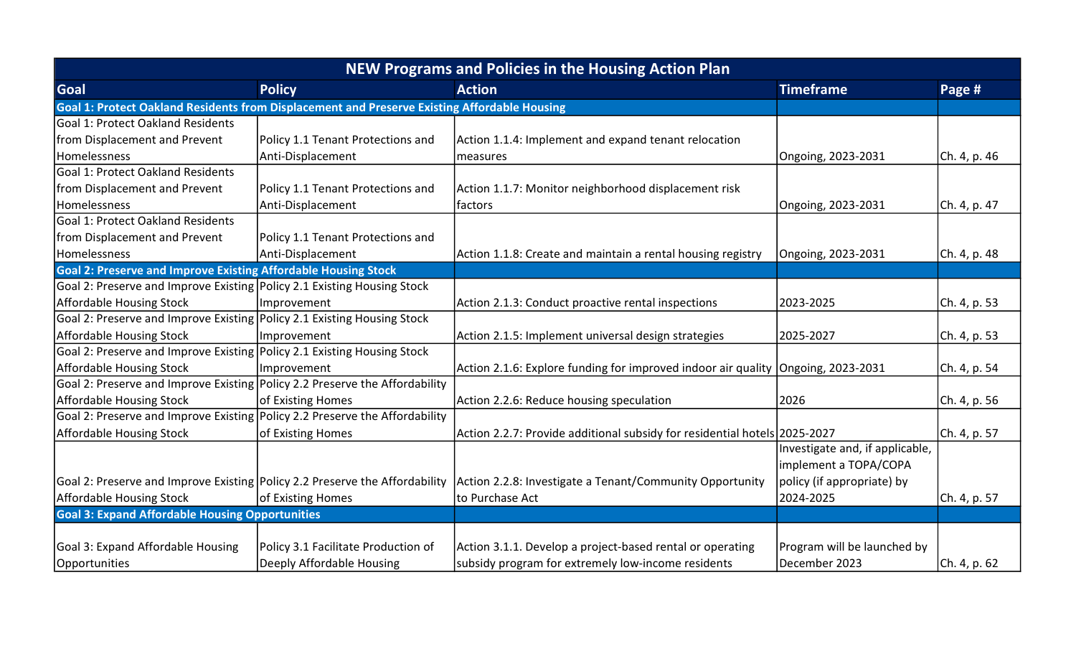| <b>NEW Programs and Policies in the Housing Action Plan</b>                                  |                                     |                                                                                    |                                 |              |  |
|----------------------------------------------------------------------------------------------|-------------------------------------|------------------------------------------------------------------------------------|---------------------------------|--------------|--|
| Goal                                                                                         | <b>Policy</b>                       | <b>Action</b>                                                                      | <b>Timeframe</b>                | Page #       |  |
| Goal 1: Protect Oakland Residents from Displacement and Preserve Existing Affordable Housing |                                     |                                                                                    |                                 |              |  |
| <b>Goal 1: Protect Oakland Residents</b>                                                     |                                     |                                                                                    |                                 |              |  |
| from Displacement and Prevent                                                                | Policy 1.1 Tenant Protections and   | Action 1.1.4: Implement and expand tenant relocation                               |                                 |              |  |
| Homelessness                                                                                 | Anti-Displacement                   | measures                                                                           | Ongoing, 2023-2031              | Ch. 4, p. 46 |  |
| <b>Goal 1: Protect Oakland Residents</b>                                                     |                                     |                                                                                    |                                 |              |  |
| from Displacement and Prevent                                                                | Policy 1.1 Tenant Protections and   | Action 1.1.7: Monitor neighborhood displacement risk                               |                                 |              |  |
| Homelessness                                                                                 | Anti-Displacement                   | factors                                                                            | Ongoing, 2023-2031              | Ch. 4, p. 47 |  |
| Goal 1: Protect Oakland Residents                                                            |                                     |                                                                                    |                                 |              |  |
| from Displacement and Prevent                                                                | Policy 1.1 Tenant Protections and   |                                                                                    |                                 |              |  |
| Homelessness                                                                                 | Anti-Displacement                   | Action 1.1.8: Create and maintain a rental housing registry                        | Ongoing, 2023-2031              | Ch. 4, p. 48 |  |
| <b>Goal 2: Preserve and Improve Existing Affordable Housing Stock</b>                        |                                     |                                                                                    |                                 |              |  |
| Goal 2: Preserve and Improve Existing Policy 2.1 Existing Housing Stock                      |                                     |                                                                                    |                                 |              |  |
| <b>Affordable Housing Stock</b>                                                              | Improvement                         | Action 2.1.3: Conduct proactive rental inspections                                 | 2023-2025                       | Ch. 4, p. 53 |  |
| Goal 2: Preserve and Improve Existing Policy 2.1 Existing Housing Stock                      |                                     |                                                                                    |                                 |              |  |
| <b>Affordable Housing Stock</b>                                                              | Improvement                         | Action 2.1.5: Implement universal design strategies                                | 2025-2027                       | Ch. 4, p. 53 |  |
| Goal 2: Preserve and Improve Existing Policy 2.1 Existing Housing Stock                      |                                     |                                                                                    |                                 |              |  |
| <b>Affordable Housing Stock</b>                                                              | Improvement                         | Action 2.1.6: Explore funding for improved indoor air quality   Ongoing, 2023-2031 |                                 | Ch. 4, p. 54 |  |
| Goal 2: Preserve and Improve Existing Policy 2.2 Preserve the Affordability                  |                                     |                                                                                    |                                 |              |  |
| <b>Affordable Housing Stock</b>                                                              | of Existing Homes                   | Action 2.2.6: Reduce housing speculation                                           | 2026                            | Ch. 4, p. 56 |  |
| Goal 2: Preserve and Improve Existing Policy 2.2 Preserve the Affordability                  |                                     |                                                                                    |                                 |              |  |
| <b>Affordable Housing Stock</b>                                                              | of Existing Homes                   | Action 2.2.7: Provide additional subsidy for residential hotels 2025-2027          |                                 | Ch. 4, p. 57 |  |
|                                                                                              |                                     |                                                                                    | Investigate and, if applicable, |              |  |
|                                                                                              |                                     |                                                                                    | implement a TOPA/COPA           |              |  |
| Goal 2: Preserve and Improve Existing Policy 2.2 Preserve the Affordability                  |                                     | Action 2.2.8: Investigate a Tenant/Community Opportunity                           | policy (if appropriate) by      |              |  |
| Affordable Housing Stock                                                                     | of Existing Homes                   | to Purchase Act                                                                    | 2024-2025                       | Ch. 4, p. 57 |  |
| <b>Goal 3: Expand Affordable Housing Opportunities</b>                                       |                                     |                                                                                    |                                 |              |  |
|                                                                                              |                                     |                                                                                    |                                 |              |  |
| Goal 3: Expand Affordable Housing                                                            | Policy 3.1 Facilitate Production of | Action 3.1.1. Develop a project-based rental or operating                          | Program will be launched by     |              |  |
| Opportunities                                                                                | Deeply Affordable Housing           | subsidy program for extremely low-income residents                                 | December 2023                   | Ch. 4, p. 62 |  |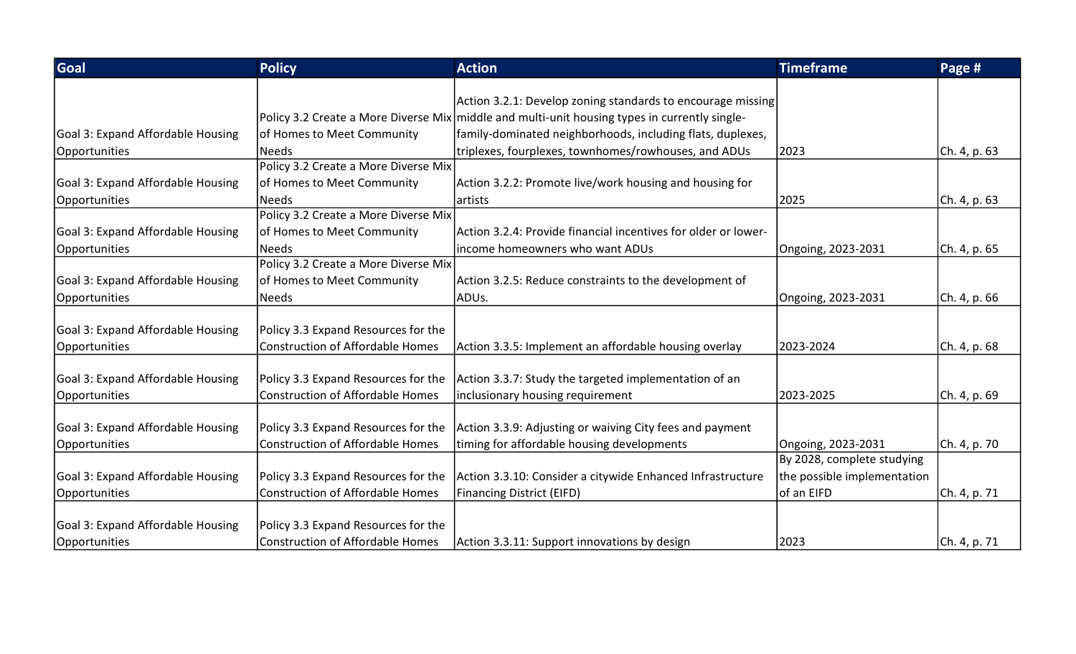| Goal                              | <b>Policy</b>                           | <b>Action</b>                                                                                 | <b>Timeframe</b>            | Page #       |
|-----------------------------------|-----------------------------------------|-----------------------------------------------------------------------------------------------|-----------------------------|--------------|
|                                   |                                         |                                                                                               |                             |              |
|                                   |                                         | Action 3.2.1: Develop zoning standards to encourage missing                                   |                             |              |
|                                   |                                         | Policy 3.2 Create a More Diverse Mix middle and multi-unit housing types in currently single- |                             |              |
| Goal 3: Expand Affordable Housing | of Homes to Meet Community              | family-dominated neighborhoods, including flats, duplexes,                                    |                             |              |
| Opportunities                     | Needs                                   | triplexes, fourplexes, townhomes/rowhouses, and ADUs                                          | 2023                        | Ch. 4, p. 63 |
|                                   | Policy 3.2 Create a More Diverse Mix    |                                                                                               |                             |              |
| Goal 3: Expand Affordable Housing | of Homes to Meet Community              | Action 3.2.2: Promote live/work housing and housing for                                       |                             |              |
| Opportunities                     | Needs                                   | lartists                                                                                      | 2025                        | Ch. 4, p. 63 |
|                                   | Policy 3.2 Create a More Diverse Mix    |                                                                                               |                             |              |
| Goal 3: Expand Affordable Housing | of Homes to Meet Community              | Action 3.2.4: Provide financial incentives for older or lower-                                |                             |              |
| Opportunities                     | Needs                                   | income homeowners who want ADUs                                                               | Ongoing, 2023-2031          | Ch. 4, p. 65 |
|                                   | Policy 3.2 Create a More Diverse Mix    |                                                                                               |                             |              |
| Goal 3: Expand Affordable Housing | of Homes to Meet Community              | Action 3.2.5: Reduce constraints to the development of                                        |                             |              |
| Opportunities                     | Needs                                   | ADUs.                                                                                         | Ongoing, 2023-2031          | Ch. 4, p. 66 |
|                                   |                                         |                                                                                               |                             |              |
| Goal 3: Expand Affordable Housing | Policy 3.3 Expand Resources for the     |                                                                                               |                             |              |
| Opportunities                     | <b>Construction of Affordable Homes</b> | Action 3.3.5: Implement an affordable housing overlay                                         | 2023-2024                   | Ch. 4, p. 68 |
|                                   |                                         |                                                                                               |                             |              |
| Goal 3: Expand Affordable Housing | Policy 3.3 Expand Resources for the     | Action 3.3.7: Study the targeted implementation of an                                         |                             |              |
| Opportunities                     | <b>Construction of Affordable Homes</b> | inclusionary housing requirement                                                              | 2023-2025                   | Ch. 4, p. 69 |
|                                   |                                         |                                                                                               |                             |              |
| Goal 3: Expand Affordable Housing | Policy 3.3 Expand Resources for the     | Action 3.3.9: Adjusting or waiving City fees and payment                                      |                             |              |
| Opportunities                     | <b>Construction of Affordable Homes</b> | timing for affordable housing developments                                                    | Ongoing, 2023-2031          | Ch. 4, p. 70 |
|                                   |                                         |                                                                                               | By 2028, complete studying  |              |
| Goal 3: Expand Affordable Housing | Policy 3.3 Expand Resources for the     | Action 3.3.10: Consider a citywide Enhanced Infrastructure                                    | the possible implementation |              |
| Opportunities                     | <b>Construction of Affordable Homes</b> | <b>Financing District (EIFD)</b>                                                              | of an EIFD                  | Ch. 4, p. 71 |
|                                   |                                         |                                                                                               |                             |              |
| Goal 3: Expand Affordable Housing | Policy 3.3 Expand Resources for the     |                                                                                               |                             |              |
| Opportunities                     | Construction of Affordable Homes        | Action 3.3.11: Support innovations by design                                                  | 2023                        | Ch. 4, p. 71 |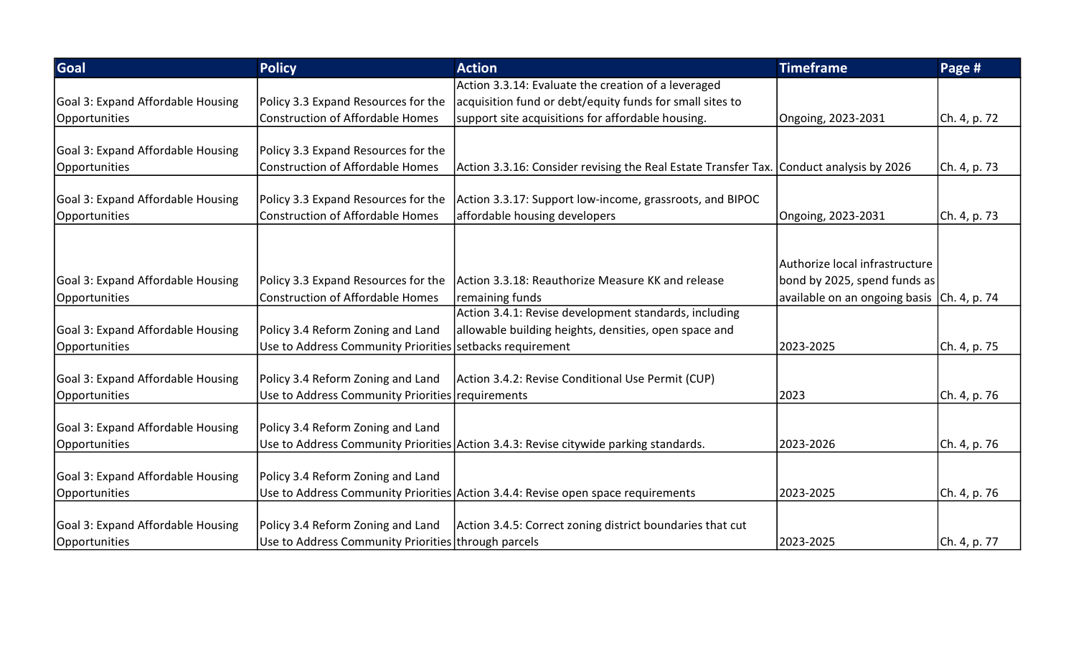| Goal                              | <b>Policy</b>                                            | <b>Action</b>                                                                           | <b>Timeframe</b>                            | Page #       |
|-----------------------------------|----------------------------------------------------------|-----------------------------------------------------------------------------------------|---------------------------------------------|--------------|
|                                   |                                                          | Action 3.3.14: Evaluate the creation of a leveraged                                     |                                             |              |
| Goal 3: Expand Affordable Housing | Policy 3.3 Expand Resources for the                      | acquisition fund or debt/equity funds for small sites to                                |                                             |              |
| Opportunities                     | <b>Construction of Affordable Homes</b>                  | support site acquisitions for affordable housing.                                       | Ongoing, 2023-2031                          | Ch. 4, p. 72 |
| Goal 3: Expand Affordable Housing | Policy 3.3 Expand Resources for the                      |                                                                                         |                                             |              |
|                                   | <b>Construction of Affordable Homes</b>                  |                                                                                         |                                             |              |
| Opportunities                     |                                                          | Action 3.3.16: Consider revising the Real Estate Transfer Tax. Conduct analysis by 2026 |                                             | Ch. 4, p. 73 |
| Goal 3: Expand Affordable Housing | Policy 3.3 Expand Resources for the                      | Action 3.3.17: Support low-income, grassroots, and BIPOC                                |                                             |              |
| Opportunities                     | <b>Construction of Affordable Homes</b>                  | affordable housing developers                                                           | Ongoing, 2023-2031                          | Ch. 4, p. 73 |
|                                   |                                                          |                                                                                         |                                             |              |
|                                   |                                                          |                                                                                         |                                             |              |
|                                   |                                                          |                                                                                         | Authorize local infrastructure              |              |
| Goal 3: Expand Affordable Housing | Policy 3.3 Expand Resources for the                      | Action 3.3.18: Reauthorize Measure KK and release                                       | bond by 2025, spend funds as                |              |
| Opportunities                     | <b>Construction of Affordable Homes</b>                  | remaining funds                                                                         | available on an ongoing basis (Ch. 4, p. 74 |              |
|                                   |                                                          | Action 3.4.1: Revise development standards, including                                   |                                             |              |
| Goal 3: Expand Affordable Housing | Policy 3.4 Reform Zoning and Land                        | allowable building heights, densities, open space and                                   |                                             |              |
| Opportunities                     | Use to Address Community Priorities setbacks requirement |                                                                                         | 2023-2025                                   | Ch. 4, p. 75 |
|                                   |                                                          |                                                                                         |                                             |              |
| Goal 3: Expand Affordable Housing | Policy 3.4 Reform Zoning and Land                        | Action 3.4.2: Revise Conditional Use Permit (CUP)                                       |                                             |              |
| Opportunities                     | Use to Address Community Priorities requirements         |                                                                                         | 2023                                        | Ch. 4, p. 76 |
| Goal 3: Expand Affordable Housing | Policy 3.4 Reform Zoning and Land                        |                                                                                         |                                             |              |
| Opportunities                     |                                                          | Use to Address Community Priorities Action 3.4.3: Revise citywide parking standards.    | 2023-2026                                   |              |
|                                   |                                                          |                                                                                         |                                             | Ch. 4, p. 76 |
| Goal 3: Expand Affordable Housing | Policy 3.4 Reform Zoning and Land                        |                                                                                         |                                             |              |
| Opportunities                     |                                                          | Use to Address Community Priorities Action 3.4.4: Revise open space requirements        | 2023-2025                                   | Ch. 4, p. 76 |
|                                   |                                                          |                                                                                         |                                             |              |
| Goal 3: Expand Affordable Housing | Policy 3.4 Reform Zoning and Land                        | Action 3.4.5: Correct zoning district boundaries that cut                               |                                             |              |
| Opportunities                     | Use to Address Community Priorities through parcels      |                                                                                         | 2023-2025                                   | Ch. 4, p. 77 |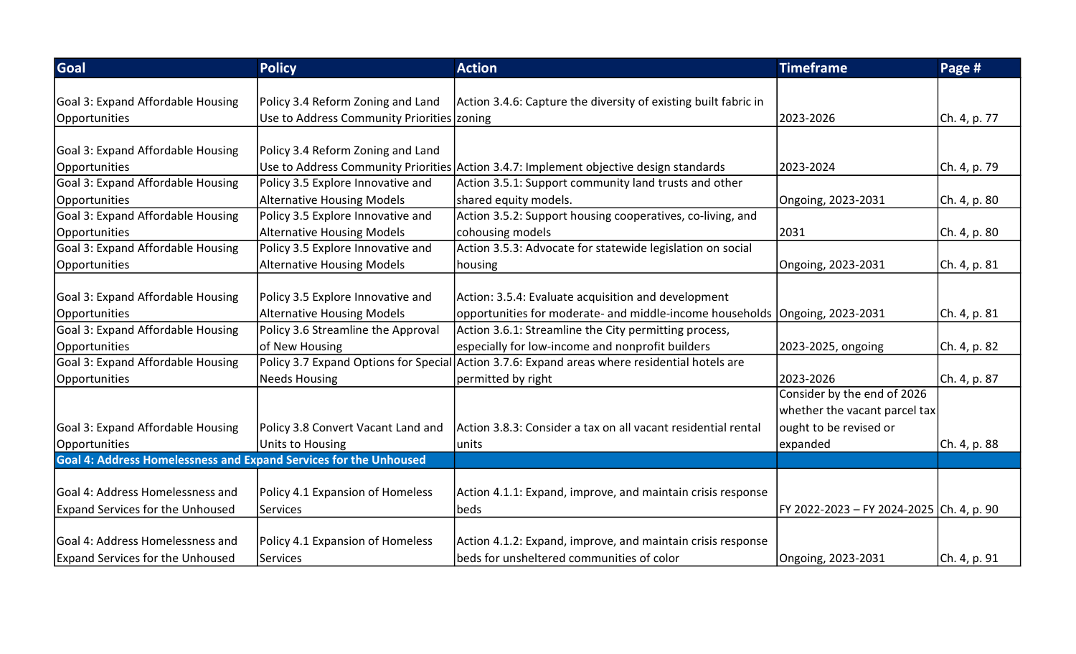| Goal                                                                     | <b>Policy</b>                                | <b>Action</b>                                                                                 | <b>Timeframe</b>                         | Page #       |
|--------------------------------------------------------------------------|----------------------------------------------|-----------------------------------------------------------------------------------------------|------------------------------------------|--------------|
|                                                                          |                                              |                                                                                               |                                          |              |
| Goal 3: Expand Affordable Housing                                        | Policy 3.4 Reform Zoning and Land            | Action 3.4.6: Capture the diversity of existing built fabric in                               |                                          |              |
| Opportunities                                                            | Use to Address Community Priorities   zoning |                                                                                               | 2023-2026                                | Ch. 4, p. 77 |
|                                                                          |                                              |                                                                                               |                                          |              |
| Goal 3: Expand Affordable Housing                                        | Policy 3.4 Reform Zoning and Land            |                                                                                               |                                          |              |
| Opportunities                                                            |                                              | Use to Address Community Priorities Action 3.4.7: Implement objective design standards        | 2023-2024                                | Ch. 4, p. 79 |
| Goal 3: Expand Affordable Housing                                        | Policy 3.5 Explore Innovative and            | Action 3.5.1: Support community land trusts and other                                         |                                          |              |
| Opportunities                                                            | <b>Alternative Housing Models</b>            | shared equity models.                                                                         | Ongoing, 2023-2031                       | Ch. 4, p. 80 |
| Goal 3: Expand Affordable Housing                                        | Policy 3.5 Explore Innovative and            | Action 3.5.2: Support housing cooperatives, co-living, and                                    |                                          |              |
| Opportunities                                                            | <b>Alternative Housing Models</b>            | cohousing models                                                                              | 2031                                     | Ch. 4, p. 80 |
| Goal 3: Expand Affordable Housing                                        | Policy 3.5 Explore Innovative and            | Action 3.5.3: Advocate for statewide legislation on social                                    |                                          |              |
| Opportunities                                                            | <b>Alternative Housing Models</b>            | housing                                                                                       | Ongoing, 2023-2031                       | Ch. 4, p. 81 |
|                                                                          |                                              |                                                                                               |                                          |              |
| Goal 3: Expand Affordable Housing                                        | Policy 3.5 Explore Innovative and            | Action: 3.5.4: Evaluate acquisition and development                                           |                                          |              |
| Opportunities                                                            | <b>Alternative Housing Models</b>            | opportunities for moderate- and middle-income households Ongoing, 2023-2031                   |                                          | Ch. 4, p. 81 |
| Goal 3: Expand Affordable Housing                                        | Policy 3.6 Streamline the Approval           | Action 3.6.1: Streamline the City permitting process,                                         |                                          |              |
| Opportunities                                                            | of New Housing                               | especially for low-income and nonprofit builders                                              | 2023-2025, ongoing                       | Ch. 4, p. 82 |
| Goal 3: Expand Affordable Housing                                        |                                              | Policy 3.7 Expand Options for Special Action 3.7.6: Expand areas where residential hotels are |                                          |              |
| Opportunities                                                            | <b>Needs Housing</b>                         | permitted by right                                                                            | 2023-2026                                | Ch. 4, p. 87 |
|                                                                          |                                              |                                                                                               | Consider by the end of 2026              |              |
|                                                                          |                                              |                                                                                               | whether the vacant parcel tax            |              |
| Goal 3: Expand Affordable Housing                                        | Policy 3.8 Convert Vacant Land and           | Action 3.8.3: Consider a tax on all vacant residential rental                                 | ought to be revised or                   |              |
| Opportunities                                                            | Units to Housing                             | units                                                                                         | expanded                                 | Ch. 4, p. 88 |
| <b>Goal 4: Address Homelessness and Expand Services for the Unhoused</b> |                                              |                                                                                               |                                          |              |
|                                                                          |                                              |                                                                                               |                                          |              |
| Goal 4: Address Homelessness and                                         | Policy 4.1 Expansion of Homeless             | Action 4.1.1: Expand, improve, and maintain crisis response                                   |                                          |              |
| <b>Expand Services for the Unhoused</b>                                  | <b>Services</b>                              | beds                                                                                          | FY 2022-2023 - FY 2024-2025 Ch. 4, p. 90 |              |
|                                                                          |                                              |                                                                                               |                                          |              |
| Goal 4: Address Homelessness and                                         | Policy 4.1 Expansion of Homeless             | Action 4.1.2: Expand, improve, and maintain crisis response                                   |                                          |              |
| <b>Expand Services for the Unhoused</b>                                  | <b>Services</b>                              | beds for unsheltered communities of color                                                     | Ongoing, 2023-2031                       | Ch. 4, p. 91 |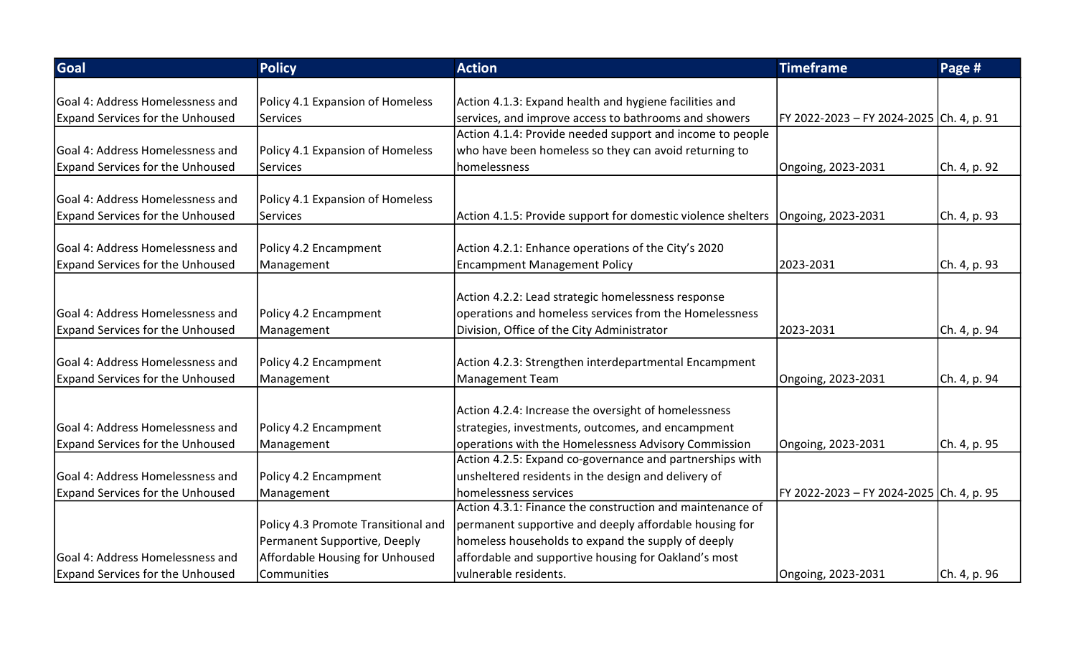| Goal                                    | <b>Policy</b>                       | <b>Action</b>                                                                     | <b>Timeframe</b>                         | Page #       |
|-----------------------------------------|-------------------------------------|-----------------------------------------------------------------------------------|------------------------------------------|--------------|
|                                         |                                     |                                                                                   |                                          |              |
| Goal 4: Address Homelessness and        | Policy 4.1 Expansion of Homeless    | Action 4.1.3: Expand health and hygiene facilities and                            |                                          |              |
| <b>Expand Services for the Unhoused</b> | Services                            | services, and improve access to bathrooms and showers                             | FY 2022-2023 - FY 2024-2025 Ch. 4, p. 91 |              |
|                                         |                                     | Action 4.1.4: Provide needed support and income to people                         |                                          |              |
| Goal 4: Address Homelessness and        | Policy 4.1 Expansion of Homeless    | who have been homeless so they can avoid returning to                             |                                          |              |
| <b>Expand Services for the Unhoused</b> | Services                            | homelessness                                                                      | Ongoing, 2023-2031                       | Ch. 4, p. 92 |
| Goal 4: Address Homelessness and        | Policy 4.1 Expansion of Homeless    |                                                                                   |                                          |              |
|                                         |                                     |                                                                                   |                                          |              |
| <b>Expand Services for the Unhoused</b> | Services                            | Action 4.1.5: Provide support for domestic violence shelters   Ongoing, 2023-2031 |                                          | Ch. 4, p. 93 |
| Goal 4: Address Homelessness and        | Policy 4.2 Encampment               | Action 4.2.1: Enhance operations of the City's 2020                               |                                          |              |
| <b>Expand Services for the Unhoused</b> | Management                          | <b>Encampment Management Policy</b>                                               | 2023-2031                                | Ch. 4, p. 93 |
|                                         |                                     |                                                                                   |                                          |              |
|                                         |                                     | Action 4.2.2: Lead strategic homelessness response                                |                                          |              |
| Goal 4: Address Homelessness and        | Policy 4.2 Encampment               | operations and homeless services from the Homelessness                            |                                          |              |
| <b>Expand Services for the Unhoused</b> | Management                          | Division, Office of the City Administrator                                        | 2023-2031                                | Ch. 4, p. 94 |
|                                         |                                     |                                                                                   |                                          |              |
| Goal 4: Address Homelessness and        | Policy 4.2 Encampment               | Action 4.2.3: Strengthen interdepartmental Encampment                             |                                          |              |
| <b>Expand Services for the Unhoused</b> | Management                          | Management Team                                                                   | Ongoing, 2023-2031                       | Ch. 4, p. 94 |
|                                         |                                     |                                                                                   |                                          |              |
|                                         |                                     | Action 4.2.4: Increase the oversight of homelessness                              |                                          |              |
| Goal 4: Address Homelessness and        | Policy 4.2 Encampment               | strategies, investments, outcomes, and encampment                                 |                                          |              |
| <b>Expand Services for the Unhoused</b> | Management                          | operations with the Homelessness Advisory Commission                              | Ongoing, 2023-2031                       | Ch. 4, p. 95 |
|                                         |                                     | Action 4.2.5: Expand co-governance and partnerships with                          |                                          |              |
| Goal 4: Address Homelessness and        | Policy 4.2 Encampment               | unsheltered residents in the design and delivery of                               |                                          |              |
| <b>Expand Services for the Unhoused</b> | Management                          | homelessness services                                                             | FY 2022-2023 - FY 2024-2025 Ch. 4, p. 95 |              |
|                                         |                                     | Action 4.3.1: Finance the construction and maintenance of                         |                                          |              |
|                                         | Policy 4.3 Promote Transitional and | permanent supportive and deeply affordable housing for                            |                                          |              |
|                                         | Permanent Supportive, Deeply        | homeless households to expand the supply of deeply                                |                                          |              |
| Goal 4: Address Homelessness and        | Affordable Housing for Unhoused     | affordable and supportive housing for Oakland's most                              |                                          |              |
| <b>Expand Services for the Unhoused</b> | Communities                         | vulnerable residents.                                                             | Ongoing, 2023-2031                       | Ch. 4, p. 96 |